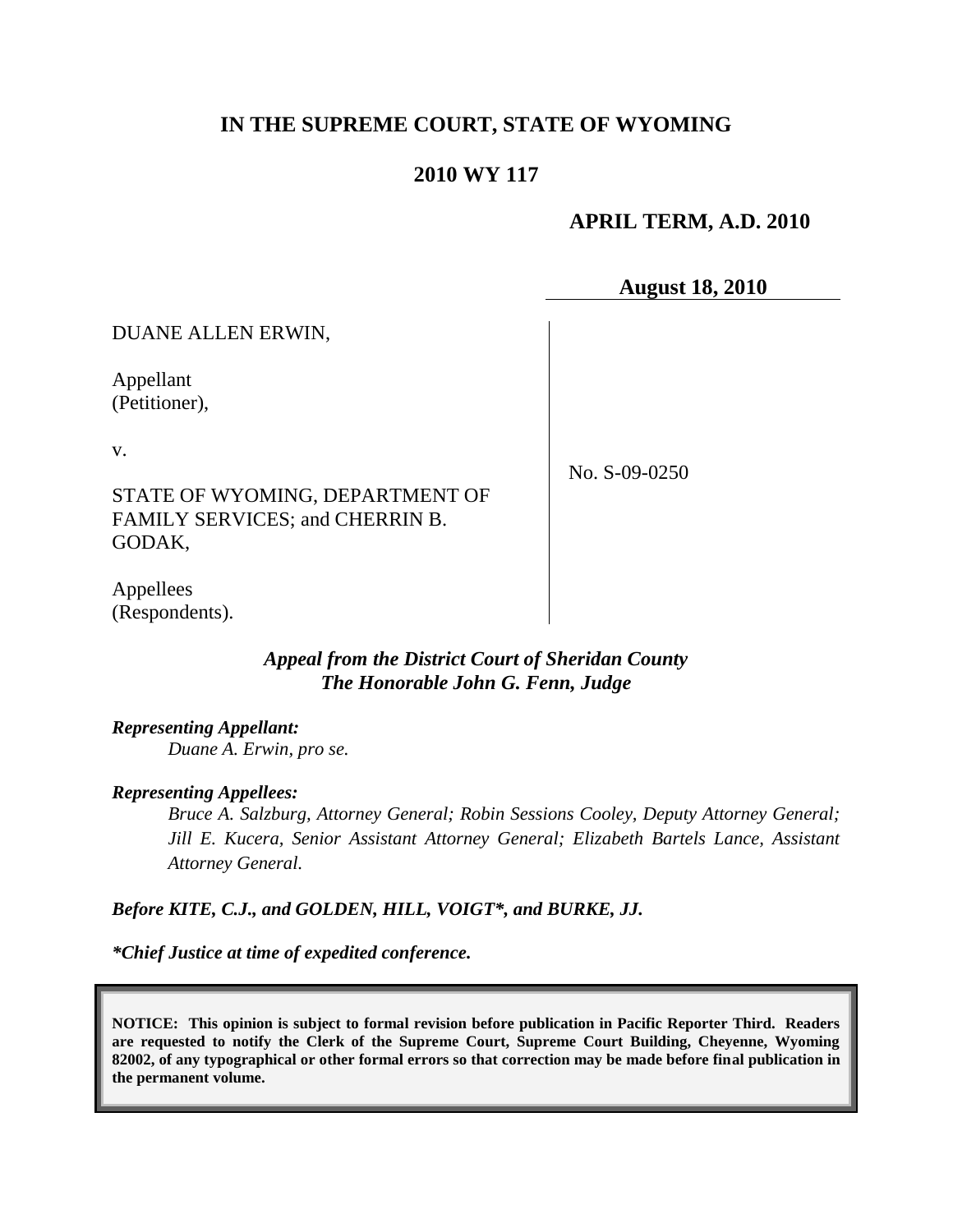# **IN THE SUPREME COURT, STATE OF WYOMING**

# **2010 WY 117**

## **APRIL TERM, A.D. 2010**

**August 18, 2010**

DUANE ALLEN ERWIN,

Appellant (Petitioner),

v.

No. S-09-0250

STATE OF WYOMING, DEPARTMENT OF FAMILY SERVICES; and CHERRIN B. GODAK,

Appellees (Respondents).

# *Appeal from the District Court of Sheridan County The Honorable John G. Fenn, Judge*

### *Representing Appellant:*

*Duane A. Erwin, pro se.*

### *Representing Appellees:*

*Bruce A. Salzburg, Attorney General; Robin Sessions Cooley, Deputy Attorney General; Jill E. Kucera, Senior Assistant Attorney General; Elizabeth Bartels Lance, Assistant Attorney General.*

*Before KITE, C.J., and GOLDEN, HILL, VOIGT\*, and BURKE, JJ.*

*\*Chief Justice at time of expedited conference.*

**NOTICE: This opinion is subject to formal revision before publication in Pacific Reporter Third. Readers are requested to notify the Clerk of the Supreme Court, Supreme Court Building, Cheyenne, Wyoming 82002, of any typographical or other formal errors so that correction may be made before final publication in the permanent volume.**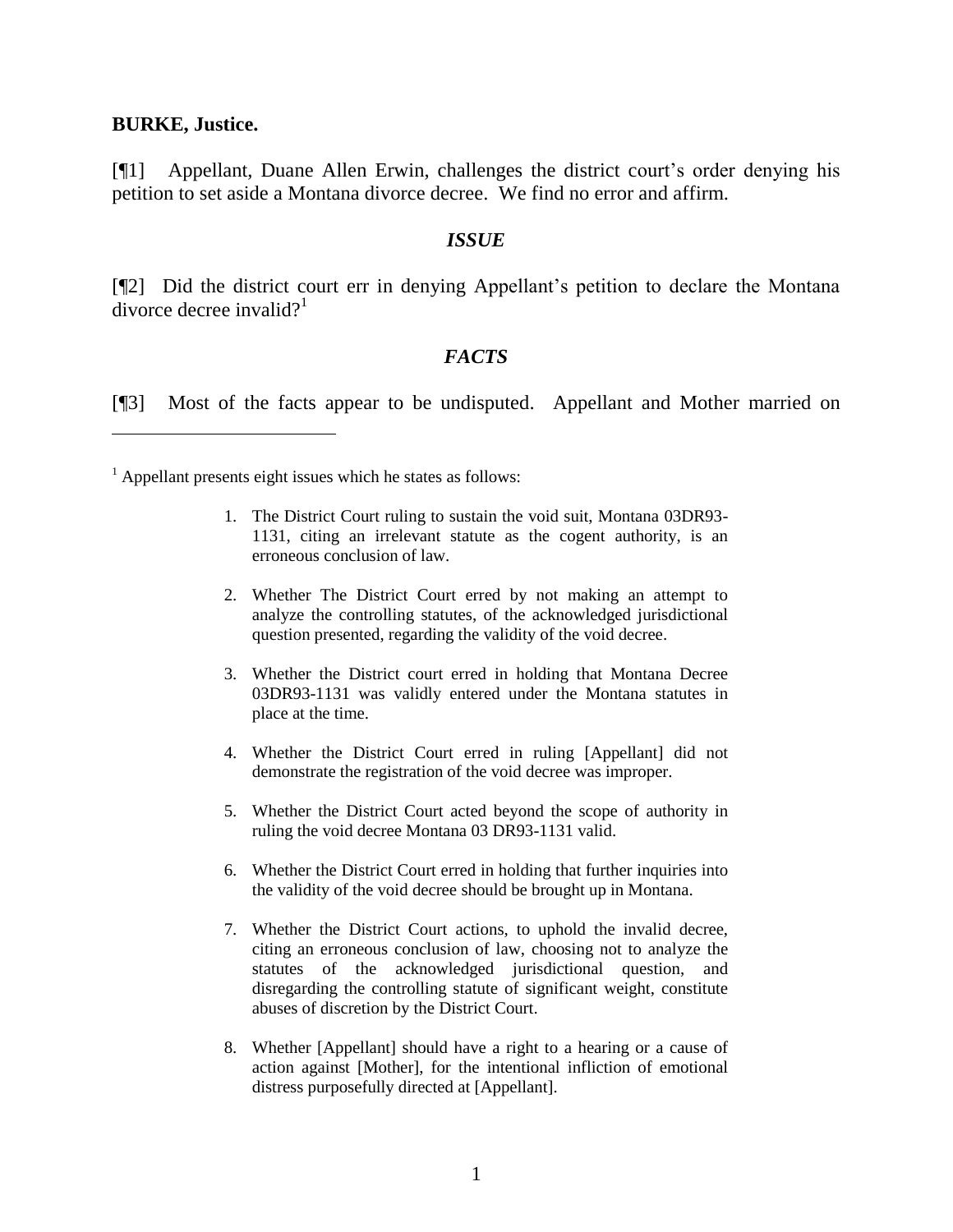#### **BURKE, Justice.**

[¶1] Appellant, Duane Allen Erwin, challenges the district court's order denying his petition to set aside a Montana divorce decree. We find no error and affirm.

#### *ISSUE*

[¶2] Did the district court err in denying Appellant's petition to declare the Montana divorce decree invalid?<sup>1</sup>

### *FACTS*

[¶3] Most of the facts appear to be undisputed. Appellant and Mother married on

 $<sup>1</sup>$  Appellant presents eight issues which he states as follows:</sup>

- 1. The District Court ruling to sustain the void suit, Montana 03DR93- 1131, citing an irrelevant statute as the cogent authority, is an erroneous conclusion of law.
- 2. Whether The District Court erred by not making an attempt to analyze the controlling statutes, of the acknowledged jurisdictional question presented, regarding the validity of the void decree.
- 3. Whether the District court erred in holding that Montana Decree 03DR93-1131 was validly entered under the Montana statutes in place at the time.
- 4. Whether the District Court erred in ruling [Appellant] did not demonstrate the registration of the void decree was improper.
- 5. Whether the District Court acted beyond the scope of authority in ruling the void decree Montana 03 DR93-1131 valid.
- 6. Whether the District Court erred in holding that further inquiries into the validity of the void decree should be brought up in Montana.
- 7. Whether the District Court actions, to uphold the invalid decree, citing an erroneous conclusion of law, choosing not to analyze the statutes of the acknowledged jurisdictional question, and disregarding the controlling statute of significant weight, constitute abuses of discretion by the District Court.
- 8. Whether [Appellant] should have a right to a hearing or a cause of action against [Mother], for the intentional infliction of emotional distress purposefully directed at [Appellant].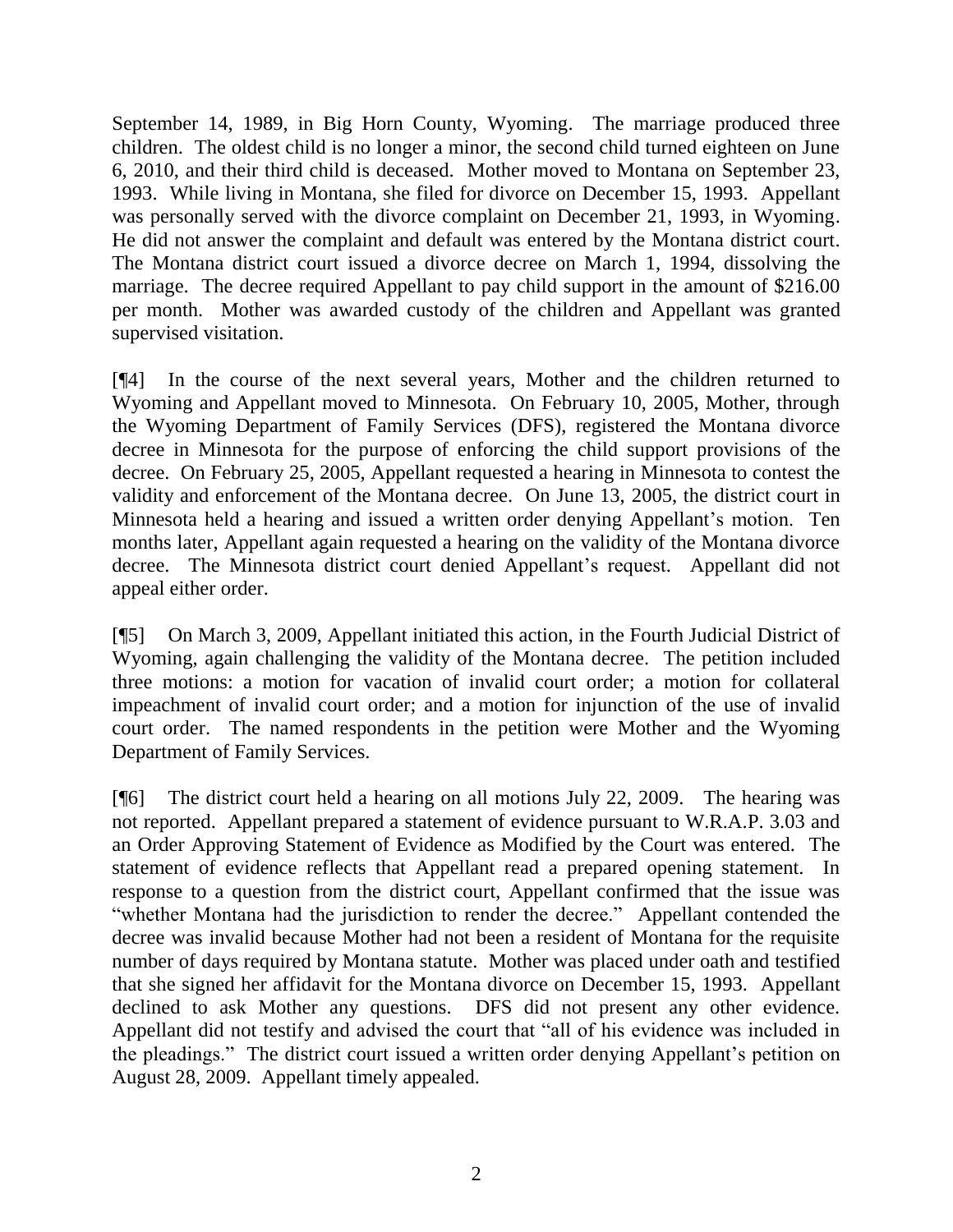September 14, 1989, in Big Horn County, Wyoming. The marriage produced three children. The oldest child is no longer a minor, the second child turned eighteen on June 6, 2010, and their third child is deceased. Mother moved to Montana on September 23, 1993. While living in Montana, she filed for divorce on December 15, 1993. Appellant was personally served with the divorce complaint on December 21, 1993, in Wyoming. He did not answer the complaint and default was entered by the Montana district court. The Montana district court issued a divorce decree on March 1, 1994, dissolving the marriage. The decree required Appellant to pay child support in the amount of \$216.00 per month. Mother was awarded custody of the children and Appellant was granted supervised visitation.

[¶4] In the course of the next several years, Mother and the children returned to Wyoming and Appellant moved to Minnesota. On February 10, 2005, Mother, through the Wyoming Department of Family Services (DFS), registered the Montana divorce decree in Minnesota for the purpose of enforcing the child support provisions of the decree. On February 25, 2005, Appellant requested a hearing in Minnesota to contest the validity and enforcement of the Montana decree. On June 13, 2005, the district court in Minnesota held a hearing and issued a written order denying Appellant's motion. Ten months later, Appellant again requested a hearing on the validity of the Montana divorce decree. The Minnesota district court denied Appellant's request. Appellant did not appeal either order.

[¶5] On March 3, 2009, Appellant initiated this action, in the Fourth Judicial District of Wyoming, again challenging the validity of the Montana decree. The petition included three motions: a motion for vacation of invalid court order; a motion for collateral impeachment of invalid court order; and a motion for injunction of the use of invalid court order. The named respondents in the petition were Mother and the Wyoming Department of Family Services.

[¶6] The district court held a hearing on all motions July 22, 2009. The hearing was not reported. Appellant prepared a statement of evidence pursuant to W.R.A.P. 3.03 and an Order Approving Statement of Evidence as Modified by the Court was entered. The statement of evidence reflects that Appellant read a prepared opening statement. In response to a question from the district court, Appellant confirmed that the issue was "whether Montana had the jurisdiction to render the decree." Appellant contended the decree was invalid because Mother had not been a resident of Montana for the requisite number of days required by Montana statute. Mother was placed under oath and testified that she signed her affidavit for the Montana divorce on December 15, 1993. Appellant declined to ask Mother any questions. DFS did not present any other evidence. Appellant did not testify and advised the court that "all of his evidence was included in the pleadings." The district court issued a written order denying Appellant's petition on August 28, 2009. Appellant timely appealed.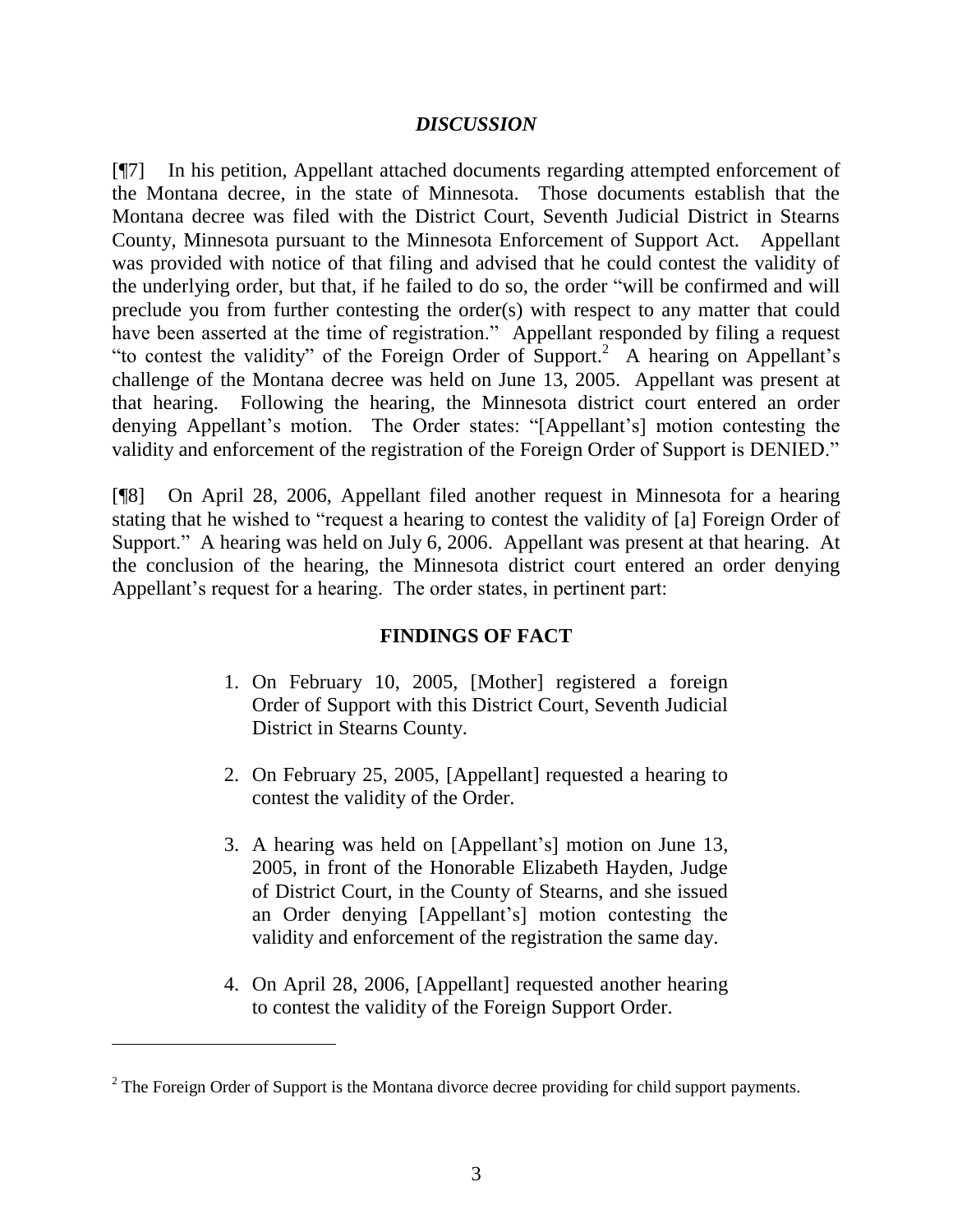## *DISCUSSION*

[¶7] In his petition, Appellant attached documents regarding attempted enforcement of the Montana decree, in the state of Minnesota. Those documents establish that the Montana decree was filed with the District Court, Seventh Judicial District in Stearns County, Minnesota pursuant to the Minnesota Enforcement of Support Act. Appellant was provided with notice of that filing and advised that he could contest the validity of the underlying order, but that, if he failed to do so, the order "will be confirmed and will preclude you from further contesting the order(s) with respect to any matter that could have been asserted at the time of registration." Appellant responded by filing a request "to contest the validity" of the Foreign Order of Support.<sup>2</sup> A hearing on Appellant's challenge of the Montana decree was held on June 13, 2005. Appellant was present at that hearing. Following the hearing, the Minnesota district court entered an order denying Appellant's motion. The Order states: "[Appellant's] motion contesting the validity and enforcement of the registration of the Foreign Order of Support is DENIED."

[¶8] On April 28, 2006, Appellant filed another request in Minnesota for a hearing stating that he wished to "request a hearing to contest the validity of [a] Foreign Order of Support." A hearing was held on July 6, 2006. Appellant was present at that hearing. At the conclusion of the hearing, the Minnesota district court entered an order denying Appellant's request for a hearing. The order states, in pertinent part:

# **FINDINGS OF FACT**

- 1. On February 10, 2005, [Mother] registered a foreign Order of Support with this District Court, Seventh Judicial District in Stearns County.
- 2. On February 25, 2005, [Appellant] requested a hearing to contest the validity of the Order.
- 3. A hearing was held on [Appellant's] motion on June 13, 2005, in front of the Honorable Elizabeth Hayden, Judge of District Court, in the County of Stearns, and she issued an Order denying [Appellant's] motion contesting the validity and enforcement of the registration the same day.
- 4. On April 28, 2006, [Appellant] requested another hearing to contest the validity of the Foreign Support Order.

<sup>&</sup>lt;sup>2</sup> The Foreign Order of Support is the Montana divorce decree providing for child support payments.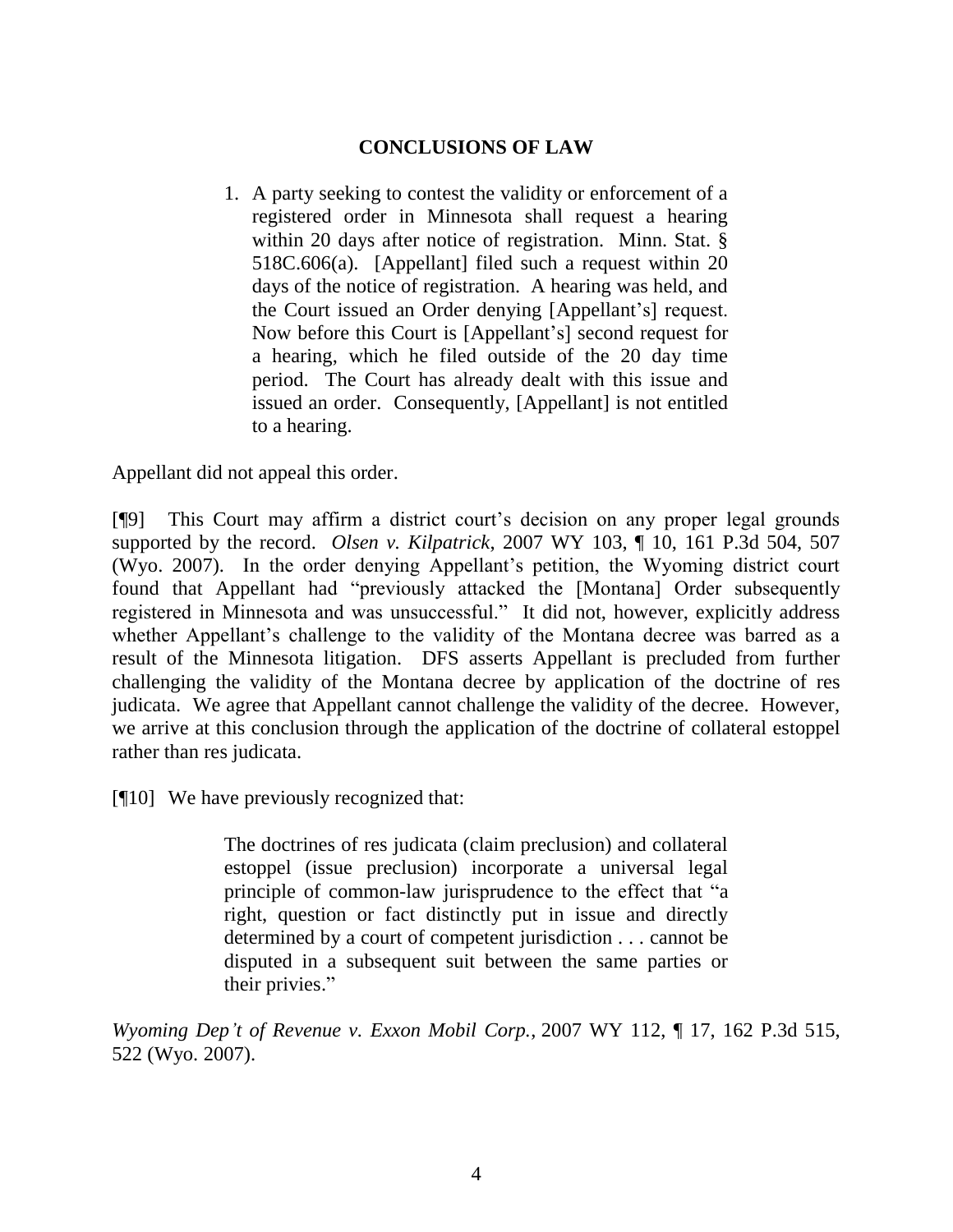# **CONCLUSIONS OF LAW**

1. A party seeking to contest the validity or enforcement of a registered order in Minnesota shall request a hearing within 20 days after notice of registration. Minn. Stat. § 518C.606(a). [Appellant] filed such a request within 20 days of the notice of registration. A hearing was held, and the Court issued an Order denying [Appellant's] request. Now before this Court is [Appellant's] second request for a hearing, which he filed outside of the 20 day time period. The Court has already dealt with this issue and issued an order. Consequently, [Appellant] is not entitled to a hearing.

Appellant did not appeal this order.

[¶9] This Court may affirm a district court's decision on any proper legal grounds supported by the record. *Olsen v. Kilpatrick*, 2007 WY 103, ¶ 10, 161 P.3d 504, 507 (Wyo. 2007). In the order denying Appellant's petition, the Wyoming district court found that Appellant had "previously attacked the [Montana] Order subsequently registered in Minnesota and was unsuccessful." It did not, however, explicitly address whether Appellant's challenge to the validity of the Montana decree was barred as a result of the Minnesota litigation. DFS asserts Appellant is precluded from further challenging the validity of the Montana decree by application of the doctrine of res judicata. We agree that Appellant cannot challenge the validity of the decree. However, we arrive at this conclusion through the application of the doctrine of collateral estoppel rather than res judicata.

[¶10] We have previously recognized that:

The doctrines of res judicata (claim preclusion) and collateral estoppel (issue preclusion) incorporate a universal legal principle of common-law jurisprudence to the effect that "a right, question or fact distinctly put in issue and directly determined by a court of competent jurisdiction . . . cannot be disputed in a subsequent suit between the same parties or their privies."

*Wyoming Dep't of Revenue v. Exxon Mobil Corp.*, 2007 WY 112, ¶ 17, 162 P.3d 515, 522 (Wyo. 2007).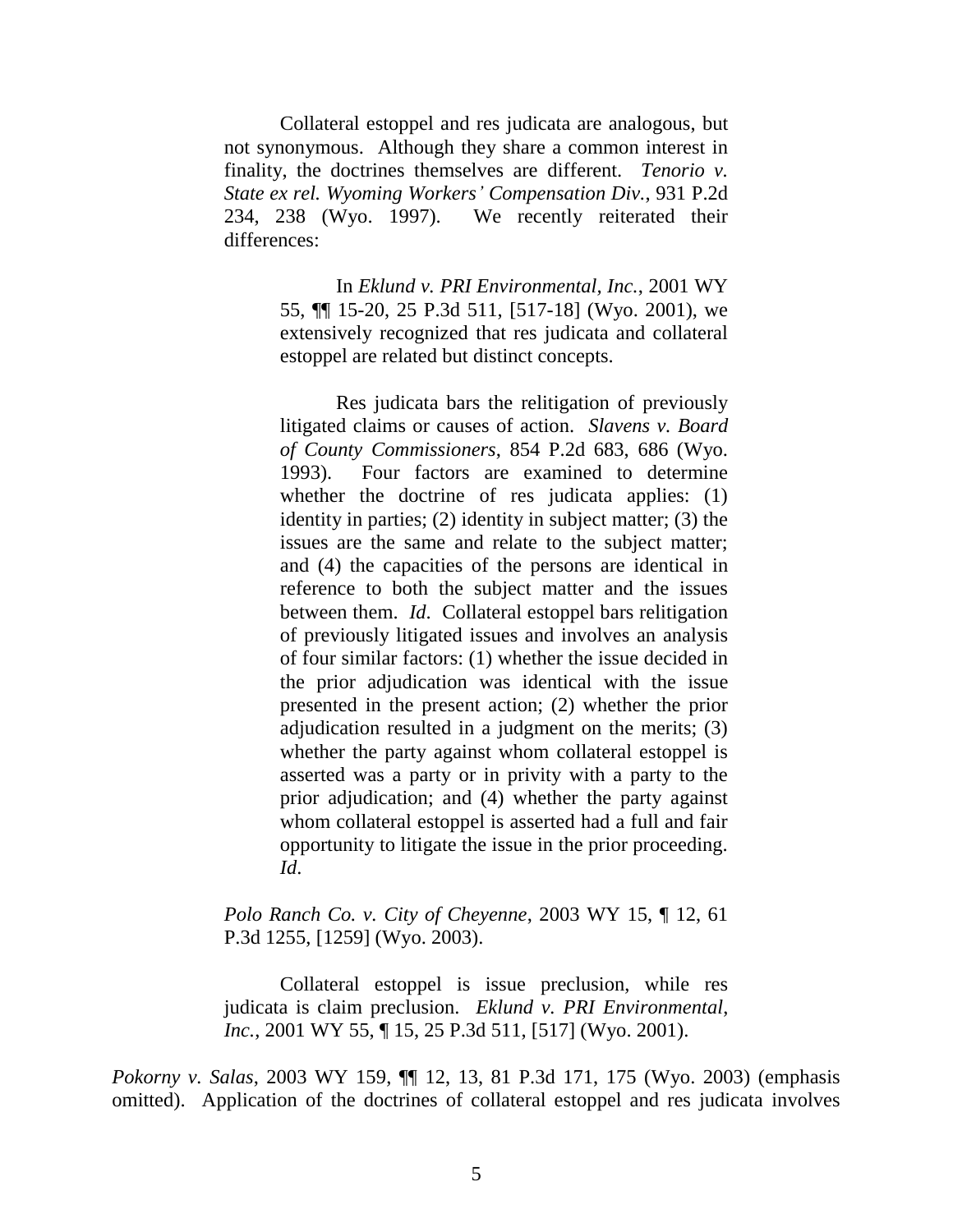Collateral estoppel and res judicata are analogous, but not synonymous. Although they share a common interest in finality, the doctrines themselves are different. *Tenorio v. State ex rel. Wyoming Workers' Compensation Div.*, 931 P.2d 234, 238 (Wyo. 1997). We recently reiterated their differences:

> In *Eklund v. PRI Environmental, Inc.*, 2001 WY 55, ¶¶ 15-20, 25 P.3d 511, [517-18] (Wyo. 2001), we extensively recognized that res judicata and collateral estoppel are related but distinct concepts.

> Res judicata bars the relitigation of previously litigated claims or causes of action. *Slavens v. Board of County Commissioners*, 854 P.2d 683, 686 (Wyo. 1993). Four factors are examined to determine whether the doctrine of res judicata applies: (1) identity in parties; (2) identity in subject matter; (3) the issues are the same and relate to the subject matter; and (4) the capacities of the persons are identical in reference to both the subject matter and the issues between them. *Id*. Collateral estoppel bars relitigation of previously litigated issues and involves an analysis of four similar factors: (1) whether the issue decided in the prior adjudication was identical with the issue presented in the present action; (2) whether the prior adjudication resulted in a judgment on the merits; (3) whether the party against whom collateral estoppel is asserted was a party or in privity with a party to the prior adjudication; and (4) whether the party against whom collateral estoppel is asserted had a full and fair opportunity to litigate the issue in the prior proceeding. *Id*.

*Polo Ranch Co. v. City of Cheyenne*, 2003 WY 15, ¶ 12, 61 P.3d 1255, [1259] (Wyo. 2003).

Collateral estoppel is issue preclusion, while res judicata is claim preclusion. *Eklund v. PRI Environmental*, *Inc.*, 2001 WY 55, ¶ 15, 25 P.3d 511, [517] (Wyo. 2001).

*Pokorny v. Salas*, 2003 WY 159, ¶¶ 12, 13, 81 P.3d 171, 175 (Wyo. 2003) (emphasis omitted). Application of the doctrines of collateral estoppel and res judicata involves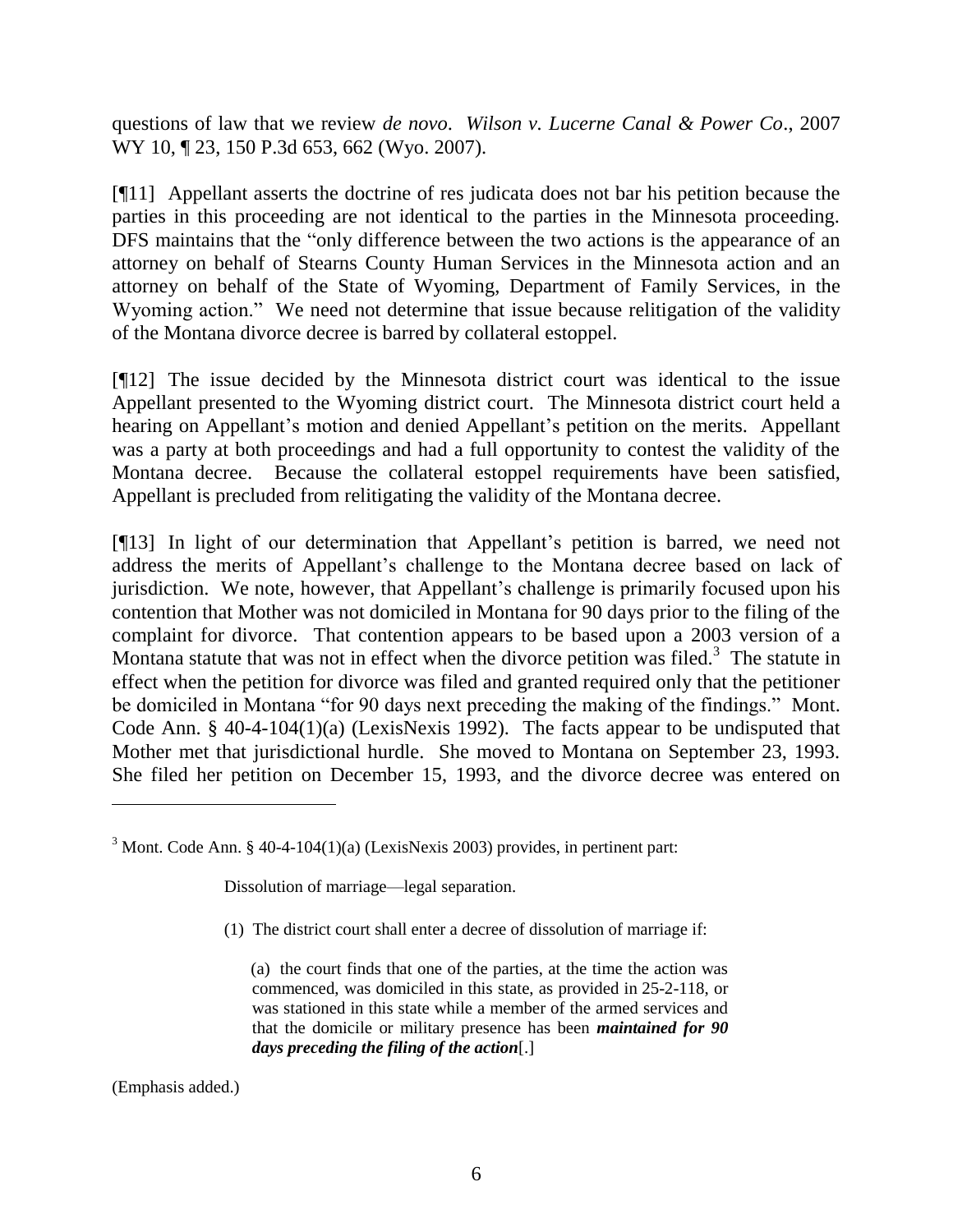questions of law that we review *de novo*. *Wilson v. Lucerne Canal & Power Co*., 2007 WY 10, 123, 150 P.3d 653, 662 (Wyo. 2007).

[¶11] Appellant asserts the doctrine of res judicata does not bar his petition because the parties in this proceeding are not identical to the parties in the Minnesota proceeding. DFS maintains that the "only difference between the two actions is the appearance of an attorney on behalf of Stearns County Human Services in the Minnesota action and an attorney on behalf of the State of Wyoming, Department of Family Services, in the Wyoming action." We need not determine that issue because relitigation of the validity of the Montana divorce decree is barred by collateral estoppel.

[¶12] The issue decided by the Minnesota district court was identical to the issue Appellant presented to the Wyoming district court. The Minnesota district court held a hearing on Appellant's motion and denied Appellant's petition on the merits. Appellant was a party at both proceedings and had a full opportunity to contest the validity of the Montana decree. Because the collateral estoppel requirements have been satisfied, Appellant is precluded from relitigating the validity of the Montana decree.

[¶13] In light of our determination that Appellant's petition is barred, we need not address the merits of Appellant's challenge to the Montana decree based on lack of jurisdiction. We note, however, that Appellant's challenge is primarily focused upon his contention that Mother was not domiciled in Montana for 90 days prior to the filing of the complaint for divorce. That contention appears to be based upon a 2003 version of a Montana statute that was not in effect when the divorce petition was filed.<sup>3</sup> The statute in effect when the petition for divorce was filed and granted required only that the petitioner be domiciled in Montana "for 90 days next preceding the making of the findings." Mont. Code Ann. § 40-4-104(1)(a) (LexisNexis 1992). The facts appear to be undisputed that Mother met that jurisdictional hurdle. She moved to Montana on September 23, 1993. She filed her petition on December 15, 1993, and the divorce decree was entered on

Dissolution of marriage—legal separation.

(1) The district court shall enter a decree of dissolution of marriage if:

(a) the court finds that one of the parties, at the time the action was commenced, was domiciled in this state, as provided in 25-2-118, or was stationed in this state while a member of the armed services and that the domicile or military presence has been *maintained for 90 days preceding the filing of the action*[.]

(Emphasis added.)

 $3$  Mont. Code Ann. § 40-4-104(1)(a) (LexisNexis 2003) provides, in pertinent part: